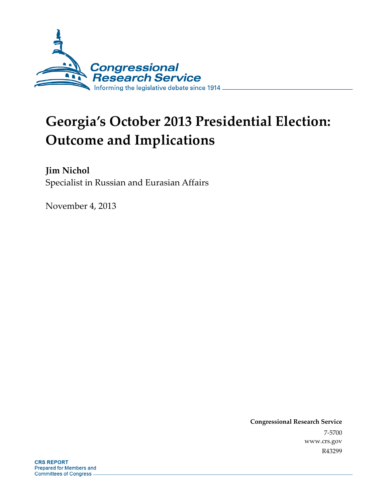

# **Georgia's October 2013 Presidential Election: Outcome and Implications**

**Jim Nichol**  Specialist in Russian and Eurasian Affairs

November 4, 2013

**Congressional Research Service**  7-5700 www.crs.gov R43299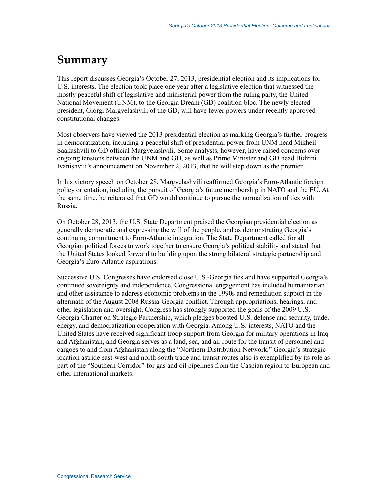## **Summary**

This report discusses Georgia's October 27, 2013, presidential election and its implications for U.S. interests. The election took place one year after a legislative election that witnessed the mostly peaceful shift of legislative and ministerial power from the ruling party, the United National Movement (UNM), to the Georgia Dream (GD) coalition bloc. The newly elected president, Giorgi Margvelashvili of the GD, will have fewer powers under recently approved constitutional changes.

Most observers have viewed the 2013 presidential election as marking Georgia's further progress in democratization, including a peaceful shift of presidential power from UNM head Mikheil Saakashvili to GD official Margvelashvili. Some analysts, however, have raised concerns over ongoing tensions between the UNM and GD, as well as Prime Minister and GD head Bidzini Ivanishvili's announcement on November 2, 2013, that he will step down as the premier.

In his victory speech on October 28, Margvelashvili reaffirmed Georgia's Euro-Atlantic foreign policy orientation, including the pursuit of Georgia's future membership in NATO and the EU. At the same time, he reiterated that GD would continue to pursue the normalization of ties with Russia.

On October 28, 2013, the U.S. State Department praised the Georgian presidential election as generally democratic and expressing the will of the people, and as demonstrating Georgia's continuing commitment to Euro-Atlantic integration. The State Department called for all Georgian political forces to work together to ensure Georgia's political stability and stated that the United States looked forward to building upon the strong bilateral strategic partnership and Georgia's Euro-Atlantic aspirations.

Successive U.S. Congresses have endorsed close U.S.-Georgia ties and have supported Georgia's continued sovereignty and independence. Congressional engagement has included humanitarian and other assistance to address economic problems in the 1990s and remediation support in the aftermath of the August 2008 Russia-Georgia conflict. Through appropriations, hearings, and other legislation and oversight, Congress has strongly supported the goals of the 2009 U.S.- Georgia Charter on Strategic Partnership, which pledges boosted U.S. defense and security, trade, energy, and democratization cooperation with Georgia. Among U.S. interests, NATO and the United States have received significant troop support from Georgia for military operations in Iraq and Afghanistan, and Georgia serves as a land, sea, and air route for the transit of personnel and cargoes to and from Afghanistan along the "Northern Distribution Network." Georgia's strategic location astride east-west and north-south trade and transit routes also is exemplified by its role as part of the "Southern Corridor" for gas and oil pipelines from the Caspian region to European and other international markets.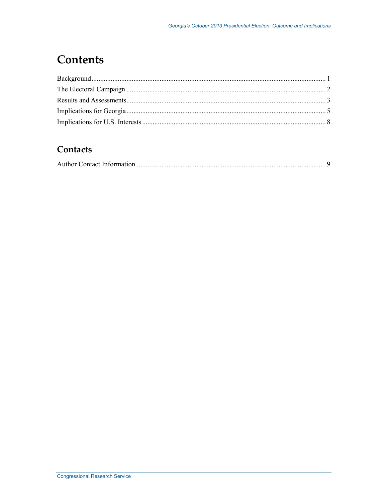## **Contents**

#### Contacts

|--|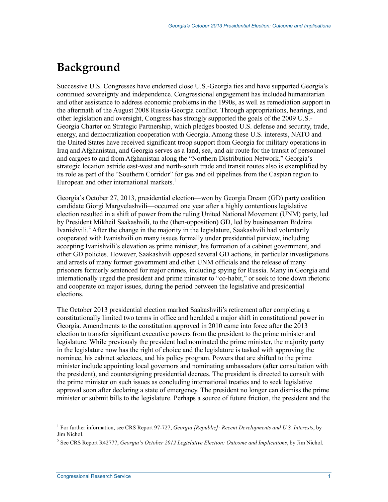#### **Background**

Successive U.S. Congresses have endorsed close U.S.-Georgia ties and have supported Georgia's continued sovereignty and independence. Congressional engagement has included humanitarian and other assistance to address economic problems in the 1990s, as well as remediation support in the aftermath of the August 2008 Russia-Georgia conflict. Through appropriations, hearings, and other legislation and oversight, Congress has strongly supported the goals of the 2009 U.S.- Georgia Charter on Strategic Partnership, which pledges boosted U.S. defense and security, trade, energy, and democratization cooperation with Georgia. Among these U.S. interests, NATO and the United States have received significant troop support from Georgia for military operations in Iraq and Afghanistan, and Georgia serves as a land, sea, and air route for the transit of personnel and cargoes to and from Afghanistan along the "Northern Distribution Network." Georgia's strategic location astride east-west and north-south trade and transit routes also is exemplified by its role as part of the "Southern Corridor" for gas and oil pipelines from the Caspian region to European and other international markets.<sup>1</sup>

Georgia's October 27, 2013, presidential election—won by Georgia Dream (GD) party coalition candidate Giorgi Margvelashvili—occurred one year after a highly contentious legislative election resulted in a shift of power from the ruling United National Movement (UNM) party, led by President Mikheil Saakashvili, to the (then-opposition) GD, led by businessman Bidzina Ivanishvili.<sup>2</sup> After the change in the majority in the legislature, Saakashvili had voluntarily cooperated with Ivanishvili on many issues formally under presidential purview, including accepting Ivanishvili's elevation as prime minister, his formation of a cabinet government, and other GD policies. However, Saakashvili opposed several GD actions, in particular investigations and arrests of many former government and other UNM officials and the release of many prisoners formerly sentenced for major crimes, including spying for Russia. Many in Georgia and internationally urged the president and prime minister to "co-habit," or seek to tone down rhetoric and cooperate on major issues, during the period between the legislative and presidential elections.

The October 2013 presidential election marked Saakashvili's retirement after completing a constitutionally limited two terms in office and heralded a major shift in constitutional power in Georgia. Amendments to the constitution approved in 2010 came into force after the 2013 election to transfer significant executive powers from the president to the prime minister and legislature. While previously the president had nominated the prime minister, the majority party in the legislature now has the right of choice and the legislature is tasked with approving the nominee, his cabinet selectees, and his policy program. Powers that are shifted to the prime minister include appointing local governors and nominating ambassadors (after consultation with the president), and countersigning presidential decrees. The president is directed to consult with the prime minister on such issues as concluding international treaties and to seek legislative approval soon after declaring a state of emergency. The president no longer can dismiss the prime minister or submit bills to the legislature. Perhaps a source of future friction, the president and the

<sup>&</sup>lt;sup>1</sup> For further information, see CRS Report 97-727, *Georgia [Republic]: Recent Developments and U.S. Interests*, by Jim Nichol.

<sup>2</sup> See CRS Report R42777, *Georgia's October 2012 Legislative Election: Outcome and Implications*, by Jim Nichol.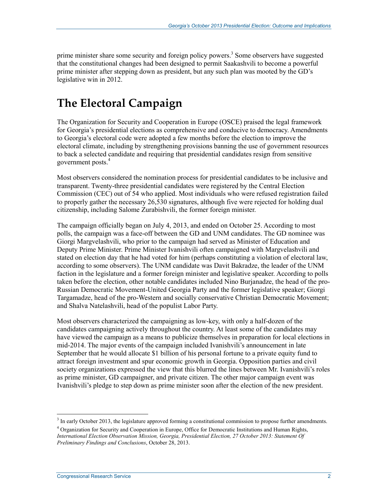prime minister share some security and foreign policy powers.<sup>3</sup> Some observers have suggested that the constitutional changes had been designed to permit Saakashvili to become a powerful prime minister after stepping down as president, but any such plan was mooted by the GD's legislative win in 2012.

# **The Electoral Campaign**

The Organization for Security and Cooperation in Europe (OSCE) praised the legal framework for Georgia's presidential elections as comprehensive and conducive to democracy. Amendments to Georgia's electoral code were adopted a few months before the election to improve the electoral climate, including by strengthening provisions banning the use of government resources to back a selected candidate and requiring that presidential candidates resign from sensitive government posts.<sup>4</sup>

Most observers considered the nomination process for presidential candidates to be inclusive and transparent. Twenty-three presidential candidates were registered by the Central Election Commission (CEC) out of 54 who applied. Most individuals who were refused registration failed to properly gather the necessary 26,530 signatures, although five were rejected for holding dual citizenship, including Salome Zurabishvili, the former foreign minister.

The campaign officially began on July 4, 2013, and ended on October 25. According to most polls, the campaign was a face-off between the GD and UNM candidates. The GD nominee was Giorgi Margvelashvili, who prior to the campaign had served as Minister of Education and Deputy Prime Minister. Prime Minister Ivanishvili often campaigned with Margvelashvili and stated on election day that he had voted for him (perhaps constituting a violation of electoral law, according to some observers). The UNM candidate was Davit Bakradze, the leader of the UNM faction in the legislature and a former foreign minister and legislative speaker. According to polls taken before the election, other notable candidates included Nino Burjanadze, the head of the pro-Russian Democratic Movement-United Georgia Party and the former legislative speaker; Giorgi Targamadze, head of the pro-Western and socially conservative Christian Democratic Movement; and Shalva Natelashvili, head of the populist Labor Party.

Most observers characterized the campaigning as low-key, with only a half-dozen of the candidates campaigning actively throughout the country. At least some of the candidates may have viewed the campaign as a means to publicize themselves in preparation for local elections in mid-2014. The major events of the campaign included Ivanishvili's announcement in late September that he would allocate \$1 billion of his personal fortune to a private equity fund to attract foreign investment and spur economic growth in Georgia. Opposition parties and civil society organizations expressed the view that this blurred the lines between Mr. Ivanishvili's roles as prime minister, GD campaigner, and private citizen. The other major campaign event was Ivanishvili's pledge to step down as prime minister soon after the election of the new president.

<sup>&</sup>lt;sup>3</sup> In early October 2013, the legislature approved forming a constitutional commission to propose further amendments.

<sup>&</sup>lt;sup>4</sup> Organization for Security and Cooperation in Europe, Office for Democratic Institutions and Human Rights, *International Election Observation Mission, Georgia, Presidential Election, 27 October 2013: Statement Of Preliminary Findings and Conclusions*, October 28, 2013.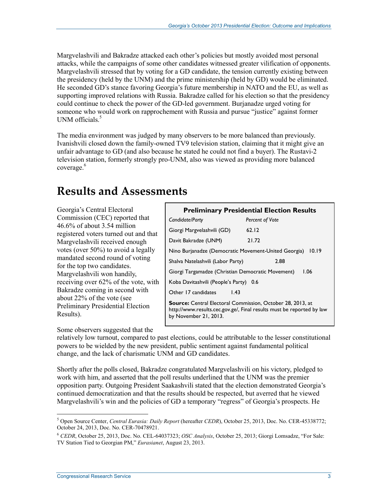Margvelashvili and Bakradze attacked each other's policies but mostly avoided most personal attacks, while the campaigns of some other candidates witnessed greater vilification of opponents. Margvelashvili stressed that by voting for a GD candidate, the tension currently existing between the presidency (held by the UNM) and the prime ministership (held by GD) would be eliminated. He seconded GD's stance favoring Georgia's future membership in NATO and the EU, as well as supporting improved relations with Russia. Bakradze called for his election so that the presidency could continue to check the power of the GD-led government. Burjanadze urged voting for someone who would work on rapprochement with Russia and pursue "justice" against former UNM officials.<sup>5</sup>

The media environment was judged by many observers to be more balanced than previously. Ivanishvili closed down the family-owned TV9 television station, claiming that it might give an unfair advantage to GD (and also because he stated he could not find a buyer). The Rustavi-2 television station, formerly strongly pro-UNM, also was viewed as providing more balanced coverage.<sup>6</sup>

#### **Results and Assessments**

Georgia's Central Electoral Commission (CEC) reported that 46.6% of about 3.54 million registered voters turned out and that Margvelashvili received enough votes (over 50%) to avoid a legally mandated second round of voting for the top two candidates. Margvelashvili won handily, receiving over 62% of the vote, with Bakradze coming in second with about 22% of the vote (see Preliminary Presidential Election Results).

Some observers suggested that the

| <b>Preliminary Presidential Election Results</b>                                                                                                                    |                        |  |
|---------------------------------------------------------------------------------------------------------------------------------------------------------------------|------------------------|--|
| Candidate/Party                                                                                                                                                     | <b>Percent of Vote</b> |  |
| Giorgi Margvelashvili (GD)                                                                                                                                          | 62.12                  |  |
| Davit Bakradze (UNM)                                                                                                                                                | 21.72                  |  |
| Nino Burjanadze (Democratic Movement-United Georgia)                                                                                                                | 10.19                  |  |
| Shalva Natelashvili (Labor Party)                                                                                                                                   | 2.88                   |  |
| Giorgi Targamadze (Christian Democratic Movement)                                                                                                                   | 1.06                   |  |
| Koba Davitashvili (People's Party) 0.6                                                                                                                              |                        |  |
| Other 17 candidates<br>1.43                                                                                                                                         |                        |  |
| <b>Source:</b> Central Electoral Commission, October 28, 2013, at<br>http://www.results.cec.gov.ge/, Final results must be reported by law<br>by November 21, 2013. |                        |  |

relatively low turnout, compared to past elections, could be attributable to the lesser constitutional powers to be wielded by the new president, public sentiment against fundamental political change, and the lack of charismatic UNM and GD candidates.

Shortly after the polls closed, Bakradze congratulated Margvelashvili on his victory, pledged to work with him, and asserted that the poll results underlined that the UNM was the premier opposition party. Outgoing President Saakashvili stated that the election demonstrated Georgia's continued democratization and that the results should be respected, but averred that he viewed Margvelashvili's win and the policies of GD a temporary "regress" of Georgia's prospects. He

<sup>1</sup> 5 Open Source Center, *Central Eurasia: Daily Report* (hereafter *CEDR*), October 25, 2013, Doc. No. CER-45338772; October 24, 2013, Doc. No. CER-70478921.

<sup>6</sup> *CEDR*, October 25, 2013, Doc. No. CEL-64037323; *OSC Analysis*, October 25, 2013; Giorgi Lomsadze, "For Sale: TV Station Tied to Georgian PM," *Eurasianet*, August 23, 2013.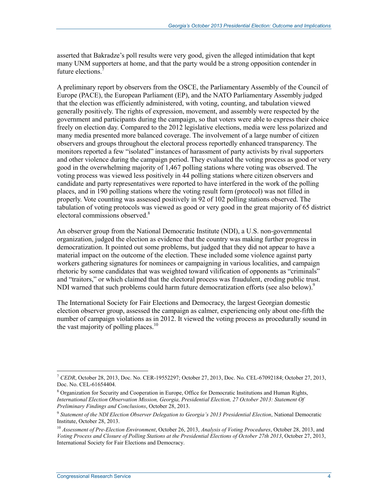asserted that Bakradze's poll results were very good, given the alleged intimidation that kept many UNM supporters at home, and that the party would be a strong opposition contender in future elections.<sup>7</sup>

A preliminary report by observers from the OSCE, the Parliamentary Assembly of the Council of Europe (PACE), the European Parliament (EP), and the NATO Parliamentary Assembly judged that the election was efficiently administered, with voting, counting, and tabulation viewed generally positively. The rights of expression, movement, and assembly were respected by the government and participants during the campaign, so that voters were able to express their choice freely on election day. Compared to the 2012 legislative elections, media were less polarized and many media presented more balanced coverage. The involvement of a large number of citizen observers and groups throughout the electoral process reportedly enhanced transparency. The monitors reported a few "isolated" instances of harassment of party activists by rival supporters and other violence during the campaign period. They evaluated the voting process as good or very good in the overwhelming majority of 1,467 polling stations where voting was observed. The voting process was viewed less positively in 44 polling stations where citizen observers and candidate and party representatives were reported to have interfered in the work of the polling places, and in 190 polling stations where the voting result form (protocol) was not filled in properly. Vote counting was assessed positively in 92 of 102 polling stations observed. The tabulation of voting protocols was viewed as good or very good in the great majority of 65 district electoral commissions observed.<sup>8</sup>

An observer group from the National Democratic Institute (NDI), a U.S. non-governmental organization, judged the election as evidence that the country was making further progress in democratization. It pointed out some problems, but judged that they did not appear to have a material impact on the outcome of the election. These included some violence against party workers gathering signatures for nominees or campaigning in various localities, and campaign rhetoric by some candidates that was weighted toward vilification of opponents as "criminals" and "traitors," or which claimed that the electoral process was fraudulent, eroding public trust. NDI warned that such problems could harm future democratization efforts (see also below).<sup>9</sup>

The International Society for Fair Elections and Democracy, the largest Georgian domestic election observer group, assessed the campaign as calmer, experiencing only about one-fifth the number of campaign violations as in 2012. It viewed the voting process as procedurally sound in the vast majority of polling places.<sup>10</sup>

<sup>1</sup> <sup>7</sup> *CEDR*, October 28, 2013, Doc. No. CER-19552297; October 27, 2013, Doc. No. CEL-67092184; October 27, 2013, Doc. No. CEL-61654404.

<sup>&</sup>lt;sup>8</sup> Organization for Security and Cooperation in Europe, Office for Democratic Institutions and Human Rights, *International Election Observation Mission, Georgia, Presidential Election, 27 October 2013: Statement Of Preliminary Findings and Conclusions*, October 28, 2013.

<sup>9</sup> *Statement of the NDI Election Observer Delegation to Georgia's 2013 Presidential Election*, National Democratic Institute, October 28, 2013.

<sup>10</sup> *Assessment of Pre-Election Environment*, October 26, 2013, *Analysis of Voting Procedures*, October 28, 2013, and *Voting Process and Closure of Polling Stations at the Presidential Elections of October 27th 2013*, October 27, 2013, International Society for Fair Elections and Democracy.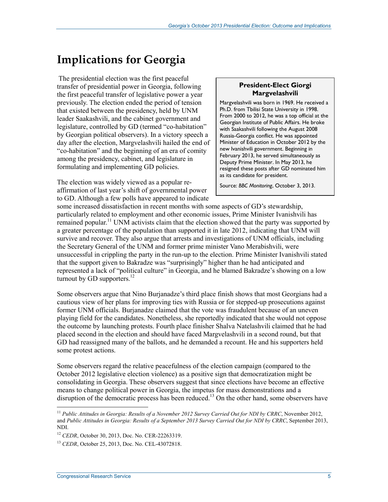#### **Implications for Georgia**

 The presidential election was the first peaceful transfer of presidential power in Georgia, following the first peaceful transfer of legislative power a year previously. The election ended the period of tension that existed between the presidency, held by UNM leader Saakashvili, and the cabinet government and legislature, controlled by GD (termed "co-habitation" by Georgian political observers). In a victory speech a day after the election, Margvelashvili hailed the end of "co-habitation" and the beginning of an era of comity among the presidency, cabinet, and legislature in formulating and implementing GD policies.

The election was widely viewed as a popular reaffirmation of last year's shift of governmental power to GD. Although a few polls have appeared to indicate

#### **President-Elect Giorgi Margvelashvili**

Margvelashvili was born in 1969. He received a Ph.D. from Tbilisi State University in 1998. From 2000 to 2012, he was a top official at the Georgian Institute of Public Affairs. He broke with Saakashvili following the August 2008 Russia-Georgia conflict. He was appointed Minister of Education in October 2012 by the new Ivanishvili government. Beginning in February 2013, he served simultaneously as Deputy Prime Minister. In May 2013, he resigned these posts after GD nominated him as its candidate for president.

Source: *BBC Monitoring*, October 3, 2013.

some increased dissatisfaction in recent months with some aspects of GD's stewardship, particularly related to employment and other economic issues, Prime Minister Ivanishvili has remained popular.<sup>11</sup> UNM activists claim that the election showed that the party was supported by a greater percentage of the population than supported it in late 2012, indicating that UNM will survive and recover. They also argue that arrests and investigations of UNM officials, including the Secretary General of the UNM and former prime minister Vano Merabishvili, were unsuccessful in crippling the party in the run-up to the election. Prime Minister Ivanishvili stated that the support given to Bakradze was "surprisingly" higher than he had anticipated and represented a lack of "political culture" in Georgia, and he blamed Bakradze's showing on a low turnout by GD supporters. $^{12}$ 

Some observers argue that Nino Burjanadze's third place finish shows that most Georgians had a cautious view of her plans for improving ties with Russia or for stepped-up prosecutions against former UNM officials. Burjanadze claimed that the vote was fraudulent because of an uneven playing field for the candidates. Nonetheless, she reportedly indicated that she would not oppose the outcome by launching protests. Fourth place finisher Shalva Natelashvili claimed that he had placed second in the election and should have faced Margvelashvili in a second round, but that GD had reassigned many of the ballots, and he demanded a recount. He and his supporters held some protest actions.

Some observers regard the relative peacefulness of the election campaign (compared to the October 2012 legislative election violence) as a positive sign that democratization might be consolidating in Georgia. These observers suggest that since elections have become an effective means to change political power in Georgia, the impetus for mass demonstrations and a disruption of the democratic process has been reduced.<sup>13</sup> On the other hand, some observers have

<sup>11</sup> *Public Attitudes in Georgia: Results of a November 2012 Survey Carried Out for NDI by CRRC*, November 2012, and *Public Attitudes in Georgia: Results of a September 2013 Survey Carried Out for NDI by CRRC*, September 2013, NDI.

<sup>&</sup>lt;sup>12</sup> *CEDR*, October 30, 2013, Doc. No. CER-22263319.

<sup>13</sup> *CEDR*, October 25, 2013, Doc. No. CEL-43072818.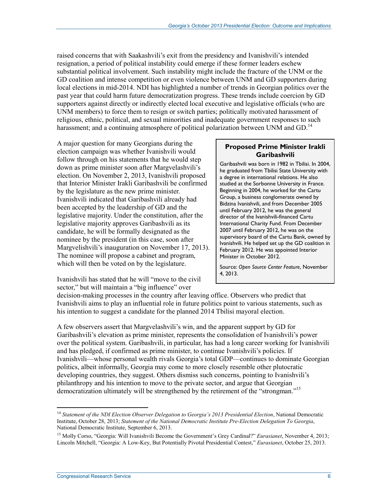raised concerns that with Saakashvili's exit from the presidency and Ivanishvili's intended resignation, a period of political instability could emerge if these former leaders eschew substantial political involvement. Such instability might include the fracture of the UNM or the GD coalition and intense competition or even violence between UNM and GD supporters during local elections in mid-2014. NDI has highlighted a number of trends in Georgian politics over the past year that could harm future democratization progress. These trends include coercion by GD supporters against directly or indirectly elected local executive and legislative officials (who are UNM members) to force them to resign or switch parties; politically motivated harassment of religious, ethnic, political, and sexual minorities and inadequate government responses to such harassment; and a continuing atmosphere of political polarization between UNM and GD.<sup>14</sup>

A major question for many Georgians during the election campaign was whether Ivanishvili would follow through on his statements that he would step down as prime minister soon after Margvelashvili's election. On November 2, 2013, Ivanishvili proposed that Interior Minister Irakli Garibashvili be confirmed by the legislature as the new prime minister. Ivanishvili indicated that Garibashvili already had been accepted by the leadership of GD and the legislative majority. Under the constitution, after the legislative majority approves Garibashvili as its candidate, he will be formally designated as the nominee by the president (in this case, soon after Margvelishvili's inauguration on November 17, 2013). The nominee will propose a cabinet and program, which will then be voted on by the legislature.

Ivanishvili has stated that he will "move to the civil sector," but will maintain a "big influence" over

#### **Proposed Prime Minister Irakli Garibashvili**

Garibashvili was born in 1982 in Tbilisi. In 2004, he graduated from Tbilisi State University with a degree in international relations. He also studied at the Sorbonne University in France. Beginning in 2004, he worked for the Cartu Group, a business conglomerate owned by Bidzina Ivanishvili, and from December 2005 until February 2012, he was the general director of the Ivanishvili-financed Cartu International Charity Fund. From December 2007 until February 2012, he was on the supervisory board of the Cartu Bank, owned by Ivanishvili. He helped set up the GD coalition in February 2012. He was appointed Interior Minister in October 2012.

Source: *Open Source Center Feature*, November 4, 2013.

decision-making processes in the country after leaving office. Observers who predict that Ivanishvili aims to play an influential role in future politics point to various statements, such as his intention to suggest a candidate for the planned 2014 Tbilisi mayoral election.

A few observers assert that Margvelashvili's win, and the apparent support by GD for Garibashvili's elevation as prime minister, represents the consolidation of Ivanishvili's power over the political system. Garibashvili, in particular, has had a long career working for Ivanishvili and has pledged, if confirmed as prime minister, to continue Ivanishvili's policies. If Ivanishvili—whose personal wealth rivals Georgia's total GDP—continues to dominate Georgian politics, albeit informally, Georgia may come to more closely resemble other plutocratic developing countries, they suggest. Others dismiss such concerns, pointing to Ivanishvili's philanthropy and his intention to move to the private sector, and argue that Georgian democratization ultimately will be strengthened by the retirement of the "strongman."15

<sup>&</sup>lt;sup>14</sup> Statement of the NDI Election Observer Delegation to Georgia's 2013 Presidential Election, National Democratic Institute, October 28, 2013; *Statement of the National Democratic Institute Pre-Election Delegation To Georgia*, National Democratic Institute, September 6, 2013.

<sup>15</sup> Molly Corso, "Georgia: Will Ivanishvili Become the Government's Grey Cardinal?" *Eurasianet*, November 4, 2013; Lincoln Mitchell, "Georgia: A Low-Key, But Potentially Pivotal Presidential Contest," *Eurasianet*, October 25, 2013.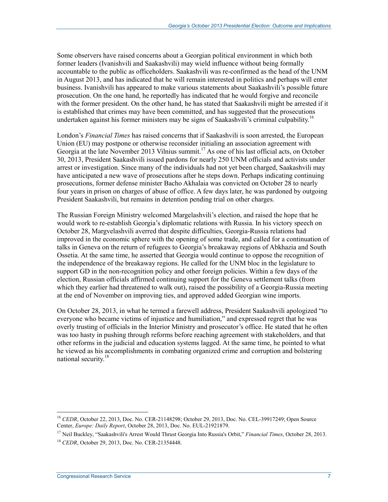Some observers have raised concerns about a Georgian political environment in which both former leaders (Ivanishvili and Saakashvili) may wield influence without being formally accountable to the public as officeholders. Saakashvili was re-confirmed as the head of the UNM in August 2013, and has indicated that he will remain interested in politics and perhaps will enter business. Ivanishvili has appeared to make various statements about Saakashvili's possible future prosecution. On the one hand, he reportedly has indicated that he would forgive and reconcile with the former president. On the other hand, he has stated that Saakashvili might be arrested if it is established that crimes may have been committed, and has suggested that the prosecutions undertaken against his former ministers may be signs of Saakashvili's criminal culpability.<sup>16</sup>

London's *Financial Times* has raised concerns that if Saakashvili is soon arrested, the European Union (EU) may postpone or otherwise reconsider initialing an association agreement with Georgia at the late November 2013 Vilnius summit.<sup>17</sup> As one of his last official acts, on October 30, 2013, President Saakashvili issued pardons for nearly 250 UNM officials and activists under arrest or investigation. Since many of the individuals had not yet been charged, Saakashvili may have anticipated a new wave of prosecutions after he steps down. Perhaps indicating continuing prosecutions, former defense minister Bacho Akhalaia was convicted on October 28 to nearly four years in prison on charges of abuse of office. A few days later, he was pardoned by outgoing President Saakashvili, but remains in detention pending trial on other charges.

The Russian Foreign Ministry welcomed Margelashvili's election, and raised the hope that he would work to re-establish Georgia's diplomatic relations with Russia. In his victory speech on October 28, Margvelashvili averred that despite difficulties, Georgia-Russia relations had improved in the economic sphere with the opening of some trade, and called for a continuation of talks in Geneva on the return of refugees to Georgia's breakaway regions of Abkhazia and South Ossetia. At the same time, he asserted that Georgia would continue to oppose the recognition of the independence of the breakaway regions. He called for the UNM bloc in the legislature to support GD in the non-recognition policy and other foreign policies. Within a few days of the election, Russian officials affirmed continuing support for the Geneva settlement talks (from which they earlier had threatened to walk out), raised the possibility of a Georgia-Russia meeting at the end of November on improving ties, and approved added Georgian wine imports.

On October 28, 2013, in what he termed a farewell address, President Saakashvili apologized "to everyone who became victims of injustice and humiliation," and expressed regret that he was overly trusting of officials in the Interior Ministry and prosecutor's office. He stated that he often was too hasty in pushing through reforms before reaching agreement with stakeholders, and that other reforms in the judicial and education systems lagged. At the same time, he pointed to what he viewed as his accomplishments in combating organized crime and corruption and bolstering national security.<sup>18</sup>

<sup>&</sup>lt;sup>16</sup> *CEDR*, October 22, 2013, Doc. No. CER-21148298; October 29, 2013, Doc. No. CEL-39917249; Open Source Center, *Europe: Daily Report*, October 28, 2013, Doc. No. EUL-21921879.

<sup>17</sup> Neil Buckley, "Saakashvili's Arrest Would Thrust Georgia Into Russia's Orbit," *Financial Times*, October 28, 2013.

<sup>18</sup> *CEDR*, October 29, 2013, Doc. No. CER-21354448.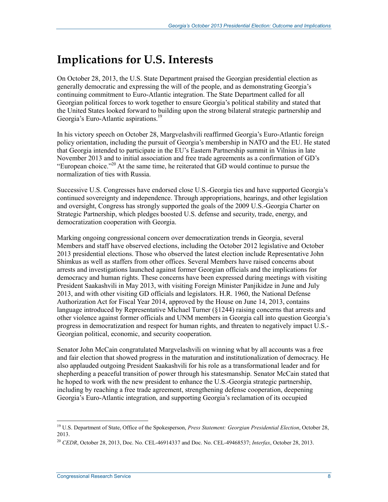### **Implications for U.S. Interests**

On October 28, 2013, the U.S. State Department praised the Georgian presidential election as generally democratic and expressing the will of the people, and as demonstrating Georgia's continuing commitment to Euro-Atlantic integration. The State Department called for all Georgian political forces to work together to ensure Georgia's political stability and stated that the United States looked forward to building upon the strong bilateral strategic partnership and Georgia's Euro-Atlantic aspirations.<sup>19</sup>

In his victory speech on October 28, Margvelashvili reaffirmed Georgia's Euro-Atlantic foreign policy orientation, including the pursuit of Georgia's membership in NATO and the EU. He stated that Georgia intended to participate in the EU's Eastern Partnership summit in Vilnius in late November 2013 and to initial association and free trade agreements as a confirmation of GD's "European choice."20 At the same time, he reiterated that GD would continue to pursue the normalization of ties with Russia.

Successive U.S. Congresses have endorsed close U.S.-Georgia ties and have supported Georgia's continued sovereignty and independence. Through appropriations, hearings, and other legislation and oversight, Congress has strongly supported the goals of the 2009 U.S.-Georgia Charter on Strategic Partnership, which pledges boosted U.S. defense and security, trade, energy, and democratization cooperation with Georgia.

Marking ongoing congressional concern over democratization trends in Georgia, several Members and staff have observed elections, including the October 2012 legislative and October 2013 presidential elections. Those who observed the latest election include Representative John Shimkus as well as staffers from other offices. Several Members have raised concerns about arrests and investigations launched against former Georgian officials and the implications for democracy and human rights. These concerns have been expressed during meetings with visiting President Saakashvili in May 2013, with visiting Foreign Minister Panjikidze in June and July 2013, and with other visiting GD officials and legislators. H.R. 1960, the National Defense Authorization Act for Fiscal Year 2014, approved by the House on June 14, 2013, contains language introduced by Representative Michael Turner (§1244) raising concerns that arrests and other violence against former officials and UNM members in Georgia call into question Georgia's progress in democratization and respect for human rights, and threaten to negatively impact U.S.- Georgian political, economic, and security cooperation.

Senator John McCain congratulated Margvelashvili on winning what by all accounts was a free and fair election that showed progress in the maturation and institutionalization of democracy. He also applauded outgoing President Saakashvili for his role as a transformational leader and for shepherding a peaceful transition of power through his statesmanship. Senator McCain stated that he hoped to work with the new president to enhance the U.S.-Georgia strategic partnership, including by reaching a free trade agreement, strengthening defense cooperation, deepening Georgia's Euro-Atlantic integration, and supporting Georgia's reclamation of its occupied

<sup>19</sup> U.S. Department of State, Office of the Spokesperson, *Press Statement: Georgian Presidential Election*, October 28, 2013.

<sup>20</sup> *CEDR*, October 28, 2013, Doc. No. CEL-46914337 and Doc. No. CEL-49468537; *Interfax*, October 28, 2013.